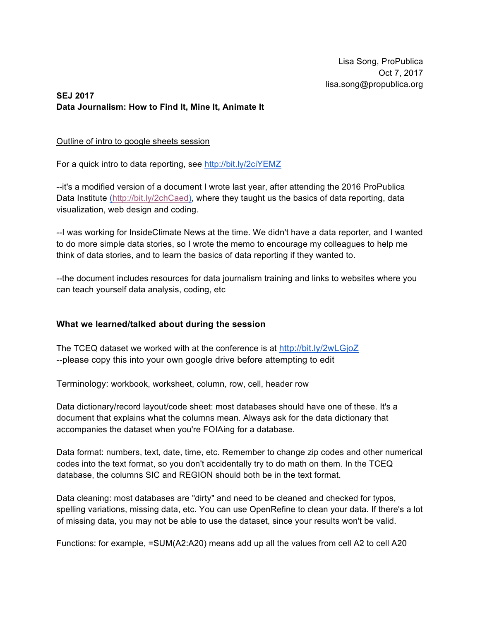Lisa Song, ProPublica Oct 7, 2017 lisa.song@propublica.org

## **SEJ 2017 Data Journalism: How to Find It, Mine It, Animate It**

## Outline of intro to google sheets session

For a quick intro to data reporting, see http://bit.ly/2ciYEMZ

--it's a modified version of a document I wrote last year, after attending the 2016 ProPublica Data Institute (http://bit.ly/2chCaed), where they taught us the basics of data reporting, data visualization, web design and coding.

--I was working for InsideClimate News at the time. We didn't have a data reporter, and I wanted to do more simple data stories, so I wrote the memo to encourage my colleagues to help me think of data stories, and to learn the basics of data reporting if they wanted to.

--the document includes resources for data journalism training and links to websites where you can teach yourself data analysis, coding, etc

## **What we learned/talked about during the session**

The TCEQ dataset we worked with at the conference is at http://bit.ly/2wLGjoZ --please copy this into your own google drive before attempting to edit

Terminology: workbook, worksheet, column, row, cell, header row

Data dictionary/record layout/code sheet: most databases should have one of these. It's a document that explains what the columns mean. Always ask for the data dictionary that accompanies the dataset when you're FOIAing for a database.

Data format: numbers, text, date, time, etc. Remember to change zip codes and other numerical codes into the text format, so you don't accidentally try to do math on them. In the TCEQ database, the columns SIC and REGION should both be in the text format.

Data cleaning: most databases are "dirty" and need to be cleaned and checked for typos, spelling variations, missing data, etc. You can use OpenRefine to clean your data. If there's a lot of missing data, you may not be able to use the dataset, since your results won't be valid.

Functions: for example, =SUM(A2:A20) means add up all the values from cell A2 to cell A20